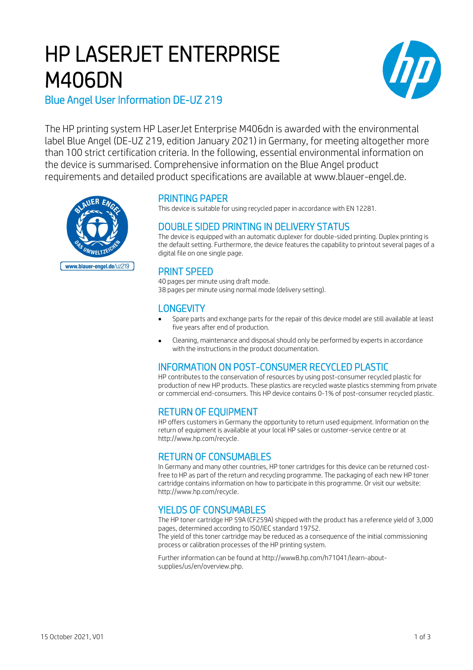# HP LASERJET ENTERPRISE M406DN



Blue Angel User Information DE-UZ 219

The HP printing system HP LaserJet Enterprise M406dn is awarded with the environmental label Blue Angel (DE-UZ 219, edition January 2021) in Germany, for meeting altogether more than 100 strict certification criteria. In the following, essential environmental information on the device is summarised. Comprehensive information on the Blue Angel product requirements and detailed product specifications are available at www.blauer-engel.de.



#### PRINTING PAPER

This device is suitable for using recycled paper in accordance with EN 12281.

# DOUBLE SIDED PRINTING IN DELIVERY STATUS

The device is equipped with an automatic duplexer for double-sided printing. Duplex printing is the default setting. Furthermore, the device features the capability to printout several pages of a digital file on one single page.

# PRINT SPEED

40 pages per minute using draft mode. 38 pages per minute using normal mode (delivery setting).

#### **LONGEVITY**

- Spare parts and exchange parts for the repair of this device model are still available at least five years after end of production.
- Cleaning, maintenance and disposal should only be performed by experts in accordance with the instructions in the product documentation.

# INFORMATION ON POST-CONSUMER RECYCLED PLASTIC

HP contributes to the conservation of resources by using post-consumer recycled plastic for production of new HP products. These plastics are recycled waste plastics stemming from private or commercial end-consumers. This HP device contains 0-1% of post-consumer recycled plastic.

# RETURN OF EQUIPMENT

HP offers customers in Germany the opportunity to return used equipment. Information on the return of equipment is available at your local HP sales or customer-service centre or at http://www.hp.com/recycle.

# RETURN OF CONSUMABLES

In Germany and many other countries, HP toner cartridges for this device can be returned costfree to HP as part of the return and recycling programme. The packaging of each new HP toner cartridge contains information on how to participate in this programme. Or visit our website: http://www.hp.com/recycle.

# YIELDS OF CONSUMABLES

The HP toner cartridge HP 59A (CF259A) shipped with the product has a reference yield of 3,000 pages, determined according to ISO/IEC standard 19752.

The yield of this toner cartridge may be reduced as a consequence of the initial commissioning process or calibration processes of the HP printing system.

Further information can be found at http://www8.hp.com/h71041/learn-aboutsupplies/us/en/overview.php.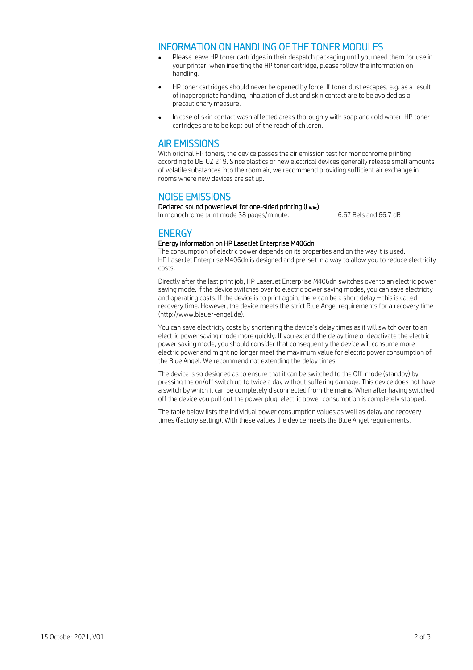#### INFORMATION ON HANDLING OF THE TONER MODULES

- Please leave HP toner cartridges in their despatch packaging until you need them for use in your printer; when inserting the HP toner cartridge, please follow the information on handling.
- HP toner cartridges should never be opened by force. If toner dust escapes, e.g. as a result of inappropriate handling, inhalation of dust and skin contact are to be avoided as a precautionary measure.
- In case of skin contact wash affected areas thoroughly with soap and cold water. HP toner cartridges are to be kept out of the reach of children.

#### AIR EMISSIONS

With original HP toners, the device passes the air emission test for monochrome printing according to DE-UZ 219. Since plastics of new electrical devices generally release small amounts of volatile substances into the room air, we recommend providing sufficient air exchange in rooms where new devices are set up.

#### NOISE EMISSIONS

Declared sound power level for one-sided printing (LwAc) In monochrome print mode 38 pages/minute: 6.67 Bels and 66.7 dB

# **ENERGY**

#### Energy information on HP LaserJet Enterprise M406dn

The consumption of electric power depends on its properties and on the way it is used. HP LaserJet Enterprise M406dn is designed and pre-set in a way to allow you to reduce electricity costs.

Directly after the last print job, HP LaserJet Enterprise M406dn switches over to an electric power saving mode. If the device switches over to electric power saving modes, you can save electricity and operating costs. If the device is to print again, there can be a short delay – this is called recovery time. However, the device meets the strict Blue Angel requirements for a recovery time (http://www.blauer-engel.de).

You can save electricity costs by shortening the device's delay times as it will switch over to an electric power saving mode more quickly. If you extend the delay time or deactivate the electric power saving mode, you should consider that consequently the device will consume more electric power and might no longer meet the maximum value for electric power consumption of the Blue Angel. We recommend not extending the delay times.

The device is so designed as to ensure that it can be switched to the Off-mode (standby) by pressing the on/off switch up to twice a day without suffering damage. This device does not have a switch by which it can be completely disconnected from the mains. When after having switched off the device you pull out the power plug, electric power consumption is completely stopped.

The table below lists the individual power consumption values as well as delay and recovery times (factory setting). With these values the device meets the Blue Angel requirements.